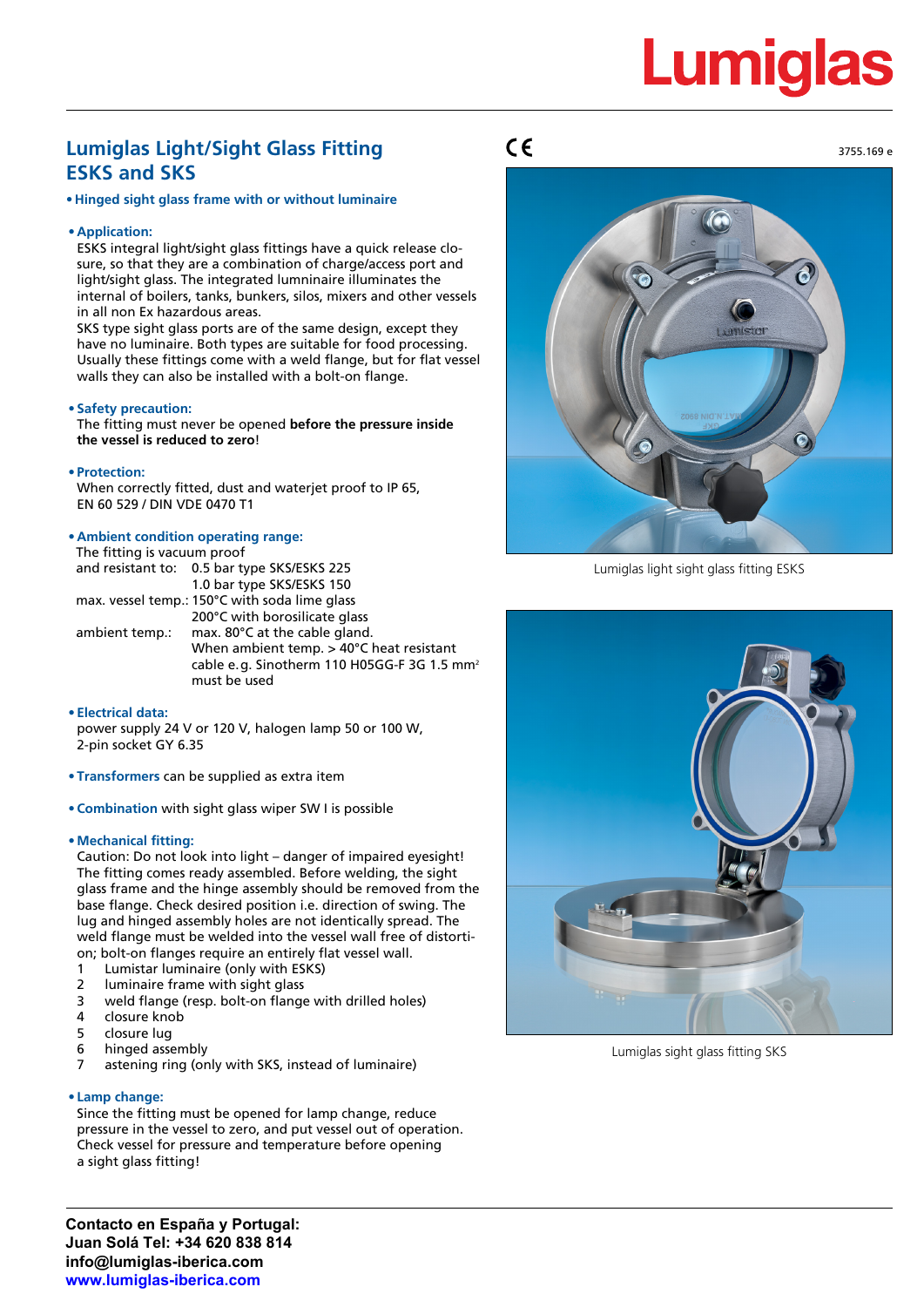# **Lumiglas**

3755.169 e

### **Lumiglas Light/Sight Glass Fitting ESKS and SKS**

**• Hinged sight glass frame with or without luminaire**

#### **• Application:**

ESKS integral light/sight glass fittings have a quick release closure, so that they are a combination of charge/access port and light/sight glass. The integrated lumninaire illuminates the internal of boilers, tanks, bunkers, silos, mixers and other vessels in all non Ex hazardous areas.

SKS type sight glass ports are of the same design, except they have no luminaire. Both types are suitable for food processing. Usually these fittings come with a weld flange, but for flat vessel walls they can also be installed with a bolt-on flange.

#### **• Safety precaution:**

The fitting must never be opened **before the pressure inside the vessel is reduced to zero**!

#### **• Protection:**

When correctly fitted, dust and waterjet proof to IP 65, EN 60 529 / DIN VDE 0470 T1

#### **• Ambient condition operating range:**

| The fitting is vacuum proof                   |                                                         |  |  |  |  |  |  |
|-----------------------------------------------|---------------------------------------------------------|--|--|--|--|--|--|
|                                               | and resistant to: 0.5 bar type SKS/ESKS 225             |  |  |  |  |  |  |
|                                               | 1.0 bar type SKS/ESKS 150                               |  |  |  |  |  |  |
| max. vessel temp.: 150°C with soda lime glass |                                                         |  |  |  |  |  |  |
|                                               | 200°C with borosilicate glass                           |  |  |  |  |  |  |
| ambient temp.:                                | max. 80°C at the cable gland.                           |  |  |  |  |  |  |
|                                               | When ambient temp. > 40°C heat resistant                |  |  |  |  |  |  |
|                                               | cable e.g. Sinotherm 110 H05GG-F 3G 1.5 mm <sup>2</sup> |  |  |  |  |  |  |
|                                               | must be used                                            |  |  |  |  |  |  |

#### **• Electrical data:**

power supply 24 V or 120 V, halogen lamp 50 or 100 W, 2-pin socket GY 6.35

- **• Transformers** can be supplied as extra item
- **• Combination** with sight glass wiper SW I is possible

#### **• Mechanical fitting:**

Caution: Do not look into light – danger of impaired eyesight! The fitting comes ready assembled. Before welding, the sight glass frame and the hinge assembly should be removed from the base flange. Check desired position i.e. direction of swing. The lug and hinged assembly holes are not identically spread. The weld flange must be welded into the vessel wall free of distortion; bolt-on flanges require an entirely flat vessel wall.

- 1 Lumistar luminaire (only with ESKS)
- 2 luminaire frame with sight glass
- 3 weld flange (resp. bolt-on flange with drilled holes)
- 4 closure knob
- 5 closure lug
- 6 hinged assembly
- astening ring (only with SKS, instead of luminaire)

#### **• Lamp change:**

Since the fitting must be opened for lamp change, reduce pressure in the vessel to zero, and put vessel out of operation. Check vessel for pressure and temperature before opening a sight glass fitting!

### $C\epsilon$



Lumiglas light sight glass fitting ESKS



Lumiglas sight glass fitting SKS

**Contacto en España y Portugal: Juan Solá Tel: +34 620 838 814 info@lumiglas-iberica.com www.lumiglas-iberica.com**